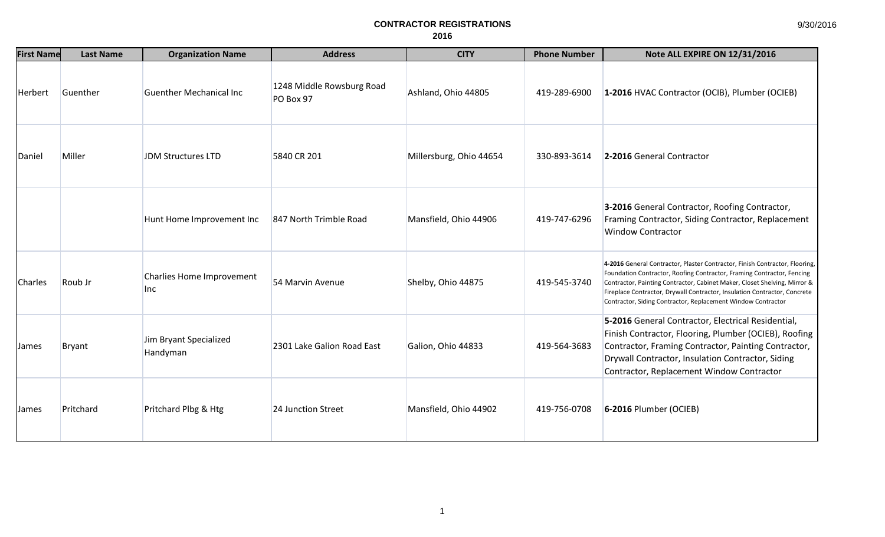| <b>First Name</b> | <b>Last Name</b> | <b>Organization Name</b>                | <b>Address</b>                         | <b>CITY</b>             | <b>Phone Number</b> | <b>Note ALL EXPIRE ON 12/31/2016</b>                                                                                                                                                                                                                                                                                                                                            |
|-------------------|------------------|-----------------------------------------|----------------------------------------|-------------------------|---------------------|---------------------------------------------------------------------------------------------------------------------------------------------------------------------------------------------------------------------------------------------------------------------------------------------------------------------------------------------------------------------------------|
| Herbert           | Guenther         | <b>Guenther Mechanical Inc</b>          | 1248 Middle Rowsburg Road<br>PO Box 97 | Ashland, Ohio 44805     | 419-289-6900        | 1-2016 HVAC Contractor (OCIB), Plumber (OCIEB)                                                                                                                                                                                                                                                                                                                                  |
| Daniel            | Miller           | JDM Structures LTD                      | 5840 CR 201                            | Millersburg, Ohio 44654 | 330-893-3614        | 2-2016 General Contractor                                                                                                                                                                                                                                                                                                                                                       |
|                   |                  | Hunt Home Improvement Inc               | 847 North Trimble Road                 | Mansfield, Ohio 44906   | 419-747-6296        | 3-2016 General Contractor, Roofing Contractor,<br>Framing Contractor, Siding Contractor, Replacement<br><b>Window Contractor</b>                                                                                                                                                                                                                                                |
| Charles           | Roub Jr          | Charlies Home Improvement<br><b>Inc</b> | 54 Marvin Avenue                       | Shelby, Ohio 44875      | 419-545-3740        | 4-2016 General Contractor, Plaster Contractor, Finish Contractor, Flooring,<br>Foundation Contractor, Roofing Contractor, Framing Contractor, Fencing<br>Contractor, Painting Contractor, Cabinet Maker, Closet Shelving, Mirror &<br>Fireplace Contractor, Drywall Contractor, Insulation Contractor, Concrete<br>Contractor, Siding Contractor, Replacement Window Contractor |
| <b>James</b>      | <b>Bryant</b>    | Jim Bryant Specialized<br>Handyman      | 2301 Lake Galion Road East             | Galion, Ohio 44833      | 419-564-3683        | 5-2016 General Contractor, Electrical Residential,<br>Finish Contractor, Flooring, Plumber (OCIEB), Roofing<br>Contractor, Framing Contractor, Painting Contractor,<br>Drywall Contractor, Insulation Contractor, Siding<br>Contractor, Replacement Window Contractor                                                                                                           |
| <b>James</b>      | Pritchard        | Pritchard Plbg & Htg                    | 24 Junction Street                     | Mansfield, Ohio 44902   | 419-756-0708        | 6-2016 Plumber (OCIEB)                                                                                                                                                                                                                                                                                                                                                          |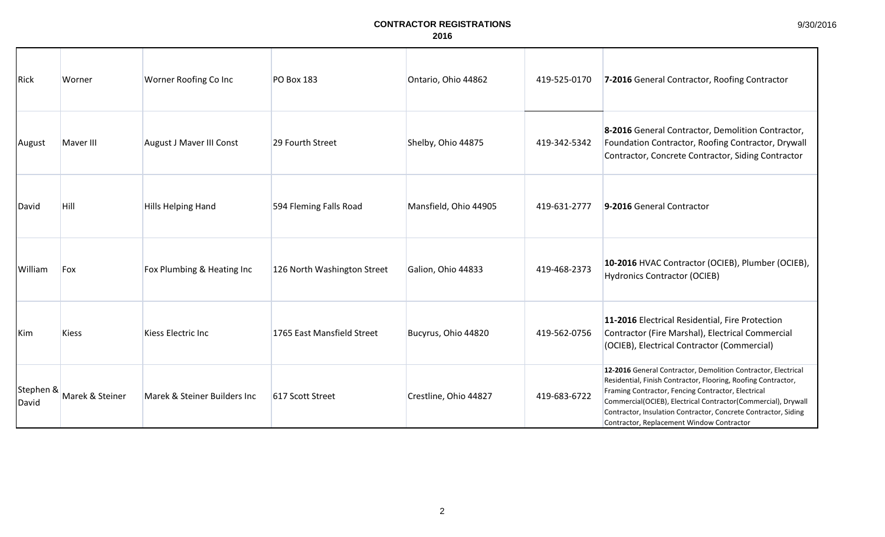9/30/2016

| Rick               | Worner          | Worner Roofing Co Inc        | <b>PO Box 183</b>           | Ontario, Ohio 44862   | 419-525-0170 | 7-2016 General Contractor, Roofing Contractor                                                                                                                                                                                                                                                                                                                        |
|--------------------|-----------------|------------------------------|-----------------------------|-----------------------|--------------|----------------------------------------------------------------------------------------------------------------------------------------------------------------------------------------------------------------------------------------------------------------------------------------------------------------------------------------------------------------------|
| August             | Maver III       | August J Maver III Const     | 29 Fourth Street            | Shelby, Ohio 44875    | 419-342-5342 | 8-2016 General Contractor, Demolition Contractor,<br>Foundation Contractor, Roofing Contractor, Drywall<br>Contractor, Concrete Contractor, Siding Contractor                                                                                                                                                                                                        |
| David              | <b>Hill</b>     | <b>Hills Helping Hand</b>    | 594 Fleming Falls Road      | Mansfield, Ohio 44905 | 419-631-2777 | 9-2016 General Contractor                                                                                                                                                                                                                                                                                                                                            |
| William            | Fox             | Fox Plumbing & Heating Inc   | 126 North Washington Street | Galion, Ohio 44833    | 419-468-2373 | 10-2016 HVAC Contractor (OCIEB), Plumber (OCIEB),<br><b>Hydronics Contractor (OCIEB)</b>                                                                                                                                                                                                                                                                             |
| Kim                | <b>Kiess</b>    | Kiess Electric Inc           | 1765 East Mansfield Street  | Bucyrus, Ohio 44820   | 419-562-0756 | 11-2016 Electrical Residential, Fire Protection<br>Contractor (Fire Marshal), Electrical Commercial<br>(OCIEB), Electrical Contractor (Commercial)                                                                                                                                                                                                                   |
| Stephen &<br>David | Marek & Steiner | Marek & Steiner Builders Inc | 617 Scott Street            | Crestline, Ohio 44827 | 419-683-6722 | 12-2016 General Contractor, Demolition Contractor, Electrical<br>Residential, Finish Contractor, Flooring, Roofing Contractor,<br>Framing Contractor, Fencing Contractor, Electrical<br>Commercial(OCIEB), Electrical Contractor(Commercial), Drywall<br>Contractor, Insulation Contractor, Concrete Contractor, Siding<br>Contractor, Replacement Window Contractor |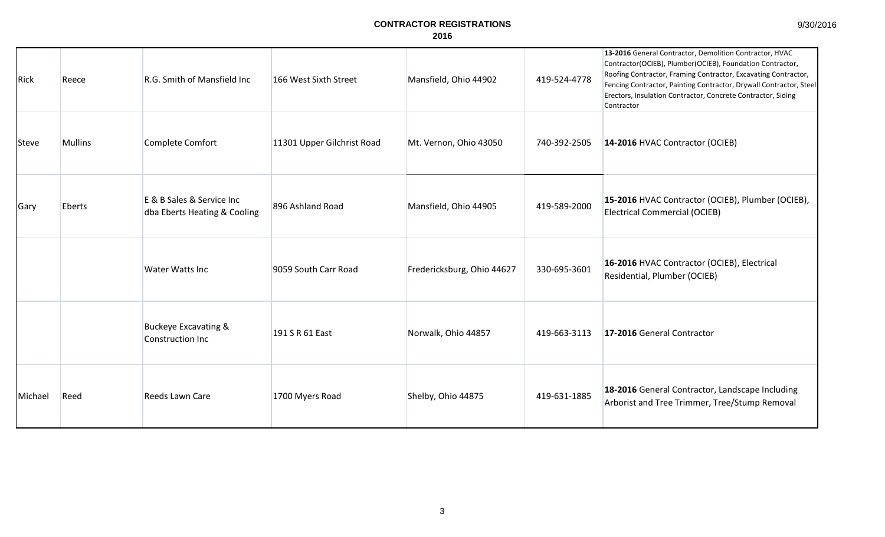9/30/2016

| Rick         | Reece          | R.G. Smith of Mansfield Inc                               | 166 West Sixth Street      | Mansfield, Ohio 44902      | 419-524-4778 | 13-2016 General Contractor, Demolition Contractor, HVAC<br>Contractor(OCIEB), Plumber(OCIEB), Foundation Contractor,<br>Roofing Contractor, Framing Contractor, Excavating Contractor,<br>Fencing Contractor, Painting Contractor, Drywall Contractor, Steel<br>Erectors, Insulation Contractor, Concrete Contractor, Siding<br>Contractor |
|--------------|----------------|-----------------------------------------------------------|----------------------------|----------------------------|--------------|--------------------------------------------------------------------------------------------------------------------------------------------------------------------------------------------------------------------------------------------------------------------------------------------------------------------------------------------|
| <b>Steve</b> | <b>Mullins</b> | Complete Comfort                                          | 11301 Upper Gilchrist Road | Mt. Vernon, Ohio 43050     | 740-392-2505 | 14-2016 HVAC Contractor (OCIEB)                                                                                                                                                                                                                                                                                                            |
| Gary         | Eberts         | E & B Sales & Service Inc<br>dba Eberts Heating & Cooling | 896 Ashland Road           | Mansfield, Ohio 44905      | 419-589-2000 | 15-2016 HVAC Contractor (OCIEB), Plumber (OCIEB),<br><b>Electrical Commercial (OCIEB)</b>                                                                                                                                                                                                                                                  |
|              |                | <b>Water Watts Inc</b>                                    | 9059 South Carr Road       | Fredericksburg, Ohio 44627 | 330-695-3601 | 16-2016 HVAC Contractor (OCIEB), Electrical<br>Residential, Plumber (OCIEB)                                                                                                                                                                                                                                                                |
|              |                | <b>Buckeye Excavating &amp;</b><br>Construction Inc       | 191 S R 61 East            | Norwalk, Ohio 44857        | 419-663-3113 | 17-2016 General Contractor                                                                                                                                                                                                                                                                                                                 |
| Michael      | Reed           | Reeds Lawn Care                                           | 1700 Myers Road            | Shelby, Ohio 44875         | 419-631-1885 | 18-2016 General Contractor, Landscape Including<br>Arborist and Tree Trimmer, Tree/Stump Removal                                                                                                                                                                                                                                           |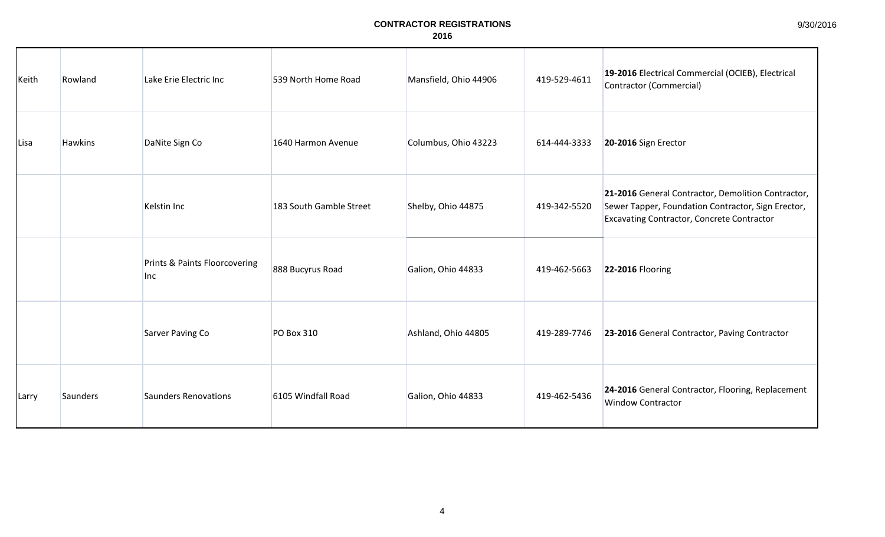| Keith | Rowland        | Lake Erie Electric Inc               | 539 North Home Road     | Mansfield, Ohio 44906 | 419-529-4611 | 19-2016 Electrical Commercial (OCIEB), Electrical<br>Contractor (Commercial)                                                                                  |
|-------|----------------|--------------------------------------|-------------------------|-----------------------|--------------|---------------------------------------------------------------------------------------------------------------------------------------------------------------|
| Lisa  | <b>Hawkins</b> | DaNite Sign Co                       | 1640 Harmon Avenue      | Columbus, Ohio 43223  | 614-444-3333 | 20-2016 Sign Erector                                                                                                                                          |
|       |                | Kelstin Inc                          | 183 South Gamble Street | Shelby, Ohio 44875    | 419-342-5520 | 21-2016 General Contractor, Demolition Contractor,<br>Sewer Tapper, Foundation Contractor, Sign Erector,<br><b>Excavating Contractor, Concrete Contractor</b> |
|       |                | Prints & Paints Floorcovering<br>Inc | 888 Bucyrus Road        | Galion, Ohio 44833    | 419-462-5663 | <b>22-2016 Flooring</b>                                                                                                                                       |
|       |                | Sarver Paving Co                     | <b>PO Box 310</b>       | Ashland, Ohio 44805   | 419-289-7746 | 23-2016 General Contractor, Paving Contractor                                                                                                                 |
| Larry | Saunders       | <b>Saunders Renovations</b>          | 6105 Windfall Road      | Galion, Ohio 44833    | 419-462-5436 | 24-2016 General Contractor, Flooring, Replacement<br><b>Window Contractor</b>                                                                                 |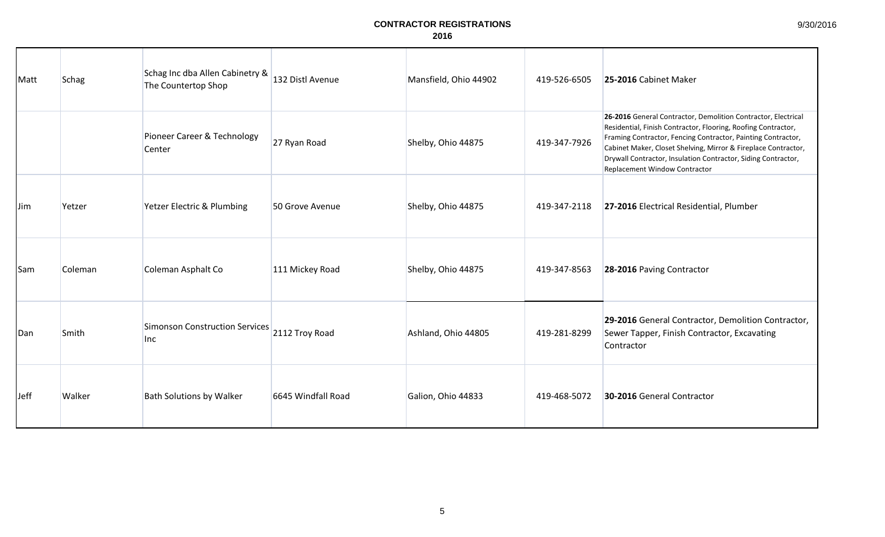| Matt       | <b>Schag</b> | Schag Inc dba Allen Cabinetry &<br>The Countertop Shop      | 132 Distl Avenue   | Mansfield, Ohio 44902 | 419-526-6505 | 25-2016 Cabinet Maker                                                                                                                                                                                                                                                                                                                                              |
|------------|--------------|-------------------------------------------------------------|--------------------|-----------------------|--------------|--------------------------------------------------------------------------------------------------------------------------------------------------------------------------------------------------------------------------------------------------------------------------------------------------------------------------------------------------------------------|
|            |              | Pioneer Career & Technology<br>Center                       | 27 Ryan Road       | Shelby, Ohio 44875    | 419-347-7926 | 26-2016 General Contractor, Demolition Contractor, Electrical<br>Residential, Finish Contractor, Flooring, Roofing Contractor,<br>Framing Contractor, Fencing Contractor, Painting Contractor,<br>Cabinet Maker, Closet Shelving, Mirror & Fireplace Contractor,<br>Drywall Contractor, Insulation Contractor, Siding Contractor,<br>Replacement Window Contractor |
| IJim       | Yetzer       | Yetzer Electric & Plumbing                                  | 50 Grove Avenue    | Shelby, Ohio 44875    | 419-347-2118 | 27-2016 Electrical Residential, Plumber                                                                                                                                                                                                                                                                                                                            |
| <b>Sam</b> | Coleman      | Coleman Asphalt Co                                          | 111 Mickey Road    | Shelby, Ohio 44875    | 419-347-8563 | 28-2016 Paving Contractor                                                                                                                                                                                                                                                                                                                                          |
| Dan        | Smith        | Simonson Construction Services 2112 Troy Road<br><b>Inc</b> |                    | Ashland, Ohio 44805   | 419-281-8299 | 29-2016 General Contractor, Demolition Contractor,<br>Sewer Tapper, Finish Contractor, Excavating<br>Contractor                                                                                                                                                                                                                                                    |
| Jeff       | Walker       | <b>Bath Solutions by Walker</b>                             | 6645 Windfall Road | Galion, Ohio 44833    | 419-468-5072 | 30-2016 General Contractor                                                                                                                                                                                                                                                                                                                                         |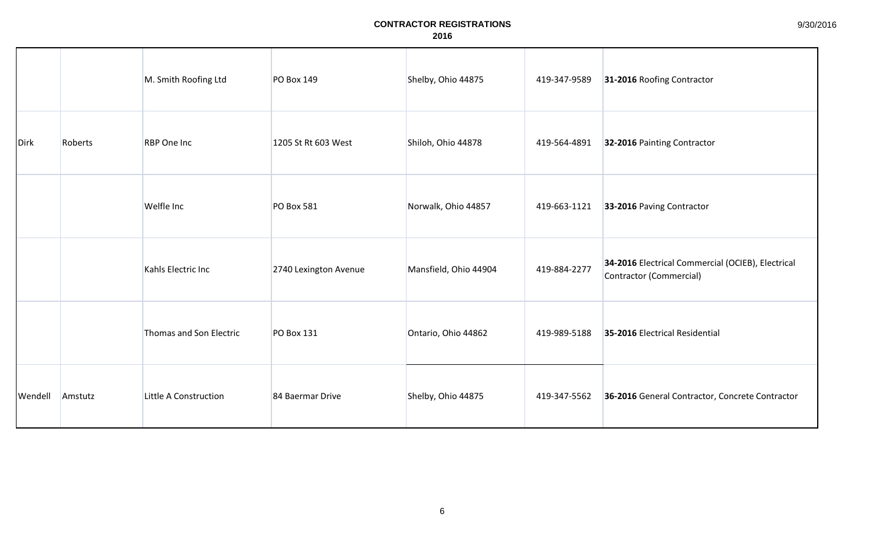|         |         | M. Smith Roofing Ltd    | <b>PO Box 149</b>     | Shelby, Ohio 44875    | 419-347-9589 | 31-2016 Roofing Contractor                                                   |
|---------|---------|-------------------------|-----------------------|-----------------------|--------------|------------------------------------------------------------------------------|
| Dirk    | Roberts | RBP One Inc             | 1205 St Rt 603 West   | Shiloh, Ohio 44878    | 419-564-4891 | 32-2016 Painting Contractor                                                  |
|         |         | Welfle Inc              | <b>PO Box 581</b>     | Norwalk, Ohio 44857   | 419-663-1121 | 33-2016 Paving Contractor                                                    |
|         |         | Kahls Electric Inc      | 2740 Lexington Avenue | Mansfield, Ohio 44904 | 419-884-2277 | 34-2016 Electrical Commercial (OCIEB), Electrical<br>Contractor (Commercial) |
|         |         | Thomas and Son Electric | <b>PO Box 131</b>     | Ontario, Ohio 44862   | 419-989-5188 | 35-2016 Electrical Residential                                               |
| Wendell | Amstutz | Little A Construction   | 84 Baermar Drive      | Shelby, Ohio 44875    | 419-347-5562 | 36-2016 General Contractor, Concrete Contractor                              |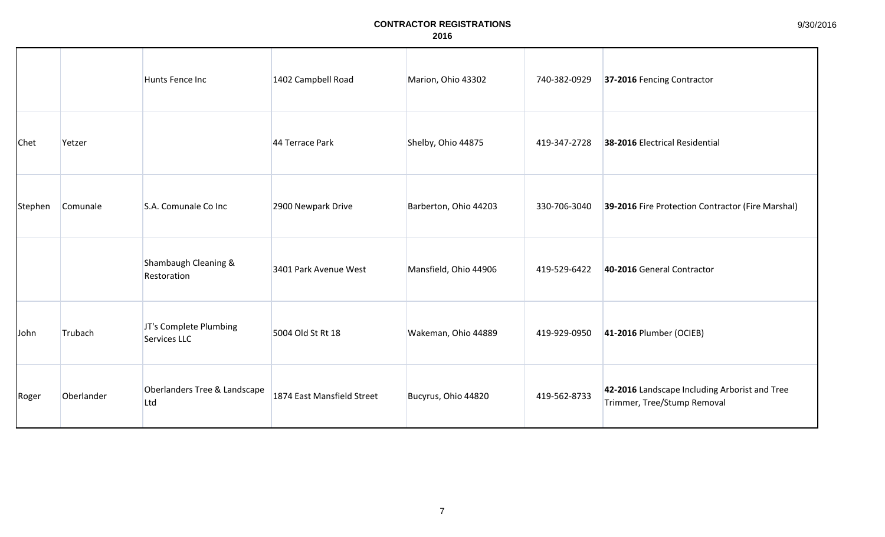|             |            | Hunts Fence Inc                        | 1402 Campbell Road         | Marion, Ohio 43302    | 740-382-0929 | 37-2016 Fencing Contractor                                                   |
|-------------|------------|----------------------------------------|----------------------------|-----------------------|--------------|------------------------------------------------------------------------------|
| <b>Chet</b> | Yetzer     |                                        | 44 Terrace Park            | Shelby, Ohio 44875    | 419-347-2728 | 38-2016 Electrical Residential                                               |
| Stephen     | Comunale   | S.A. Comunale Co Inc                   | 2900 Newpark Drive         | Barberton, Ohio 44203 | 330-706-3040 | 39-2016 Fire Protection Contractor (Fire Marshal)                            |
|             |            | Shambaugh Cleaning &<br>Restoration    | 3401 Park Avenue West      | Mansfield, Ohio 44906 | 419-529-6422 | 40-2016 General Contractor                                                   |
| John        | Trubach    | JT's Complete Plumbing<br>Services LLC | 5004 Old St Rt 18          | Wakeman, Ohio 44889   | 419-929-0950 | 41-2016 Plumber (OCIEB)                                                      |
| Roger       | Oberlander | Oberlanders Tree & Landscape<br>Ltd    | 1874 East Mansfield Street | Bucyrus, Ohio 44820   | 419-562-8733 | 42-2016 Landscape Including Arborist and Tree<br>Trimmer, Tree/Stump Removal |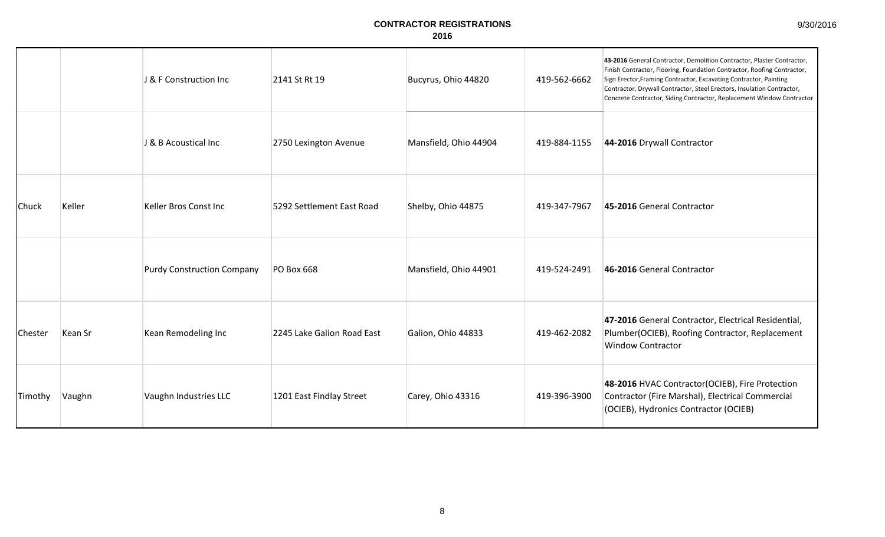| 9/30/2016 |  |
|-----------|--|
|-----------|--|

|                |         | J & F Construction Inc            | 2141 St Rt 19              | Bucyrus, Ohio 44820   | 419-562-6662 | 43-2016 General Contractor, Demolition Contractor, Plaster Contractor,<br>Finish Contractor, Flooring, Foundation Contractor, Roofing Contractor,<br>Sign Erector, Framing Contractor, Excavating Contractor, Painting<br>Contractor, Drywall Contractor, Steel Erectors, Insulation Contractor,<br>Concrete Contractor, Siding Contractor, Replacement Window Contractor |
|----------------|---------|-----------------------------------|----------------------------|-----------------------|--------------|---------------------------------------------------------------------------------------------------------------------------------------------------------------------------------------------------------------------------------------------------------------------------------------------------------------------------------------------------------------------------|
|                |         | J & B Acoustical Inc              | 2750 Lexington Avenue      | Mansfield, Ohio 44904 | 419-884-1155 | 44-2016 Drywall Contractor                                                                                                                                                                                                                                                                                                                                                |
| Chuck          | Keller  | Keller Bros Const Inc             | 5292 Settlement East Road  | Shelby, Ohio 44875    | 419-347-7967 | 45-2016 General Contractor                                                                                                                                                                                                                                                                                                                                                |
|                |         | <b>Purdy Construction Company</b> | PO Box 668                 | Mansfield, Ohio 44901 | 419-524-2491 | 46-2016 General Contractor                                                                                                                                                                                                                                                                                                                                                |
| <b>Chester</b> | Kean Sr | Kean Remodeling Inc               | 2245 Lake Galion Road East | Galion, Ohio 44833    | 419-462-2082 | 47-2016 General Contractor, Electrical Residential,<br>Plumber(OCIEB), Roofing Contractor, Replacement<br><b>Window Contractor</b>                                                                                                                                                                                                                                        |
| Timothy        | Vaughn  | Vaughn Industries LLC             | 1201 East Findlay Street   | Carey, Ohio 43316     | 419-396-3900 | 48-2016 HVAC Contractor(OCIEB), Fire Protection<br>Contractor (Fire Marshal), Electrical Commercial<br>(OCIEB), Hydronics Contractor (OCIEB)                                                                                                                                                                                                                              |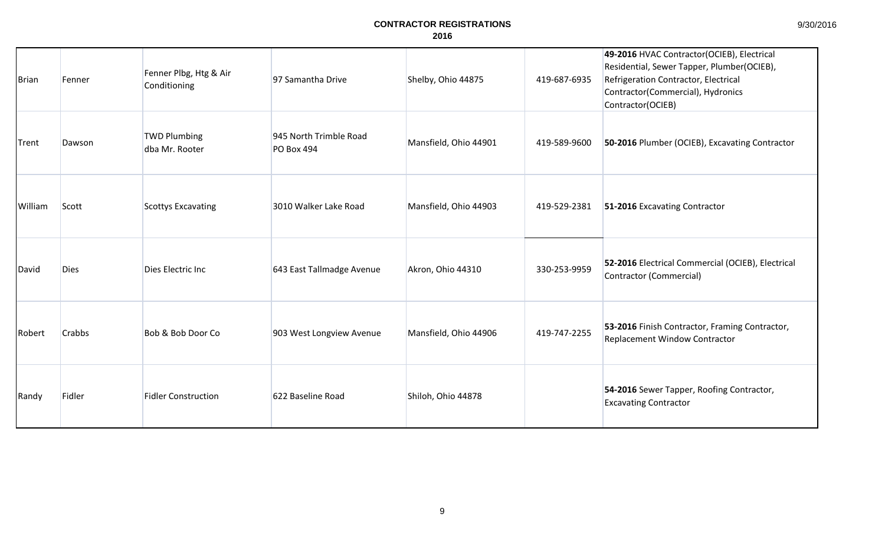# 9/30/2016

| <b>Brian</b> | Fenner        | Fenner Plbg, Htg & Air<br>Conditioning | 97 Samantha Drive                           | Shelby, Ohio 44875    | 419-687-6935 | 49-2016 HVAC Contractor(OCIEB), Electrical<br>Residential, Sewer Tapper, Plumber(OCIEB),<br>Refrigeration Contractor, Electrical<br>Contractor(Commercial), Hydronics<br>Contractor(OCIEB) |
|--------------|---------------|----------------------------------------|---------------------------------------------|-----------------------|--------------|--------------------------------------------------------------------------------------------------------------------------------------------------------------------------------------------|
| Trent        | Dawson        | <b>TWD Plumbing</b><br>dba Mr. Rooter  | 945 North Trimble Road<br><b>PO Box 494</b> | Mansfield, Ohio 44901 | 419-589-9600 | 50-2016 Plumber (OCIEB), Excavating Contractor                                                                                                                                             |
| William      | Scott         | <b>Scottys Excavating</b>              | 3010 Walker Lake Road                       | Mansfield, Ohio 44903 | 419-529-2381 | 51-2016 Excavating Contractor                                                                                                                                                              |
| David        | <b>Dies</b>   | Dies Electric Inc                      | 643 East Tallmadge Avenue                   | Akron, Ohio 44310     | 330-253-9959 | 52-2016 Electrical Commercial (OCIEB), Electrical<br>Contractor (Commercial)                                                                                                               |
| Robert       | <b>Crabbs</b> | Bob & Bob Door Co                      | 903 West Longview Avenue                    | Mansfield, Ohio 44906 | 419-747-2255 | 53-2016 Finish Contractor, Framing Contractor,<br>Replacement Window Contractor                                                                                                            |
| Randy        | Fidler        | <b>Fidler Construction</b>             | 622 Baseline Road                           | Shiloh, Ohio 44878    |              | 54-2016 Sewer Tapper, Roofing Contractor,<br><b>Excavating Contractor</b>                                                                                                                  |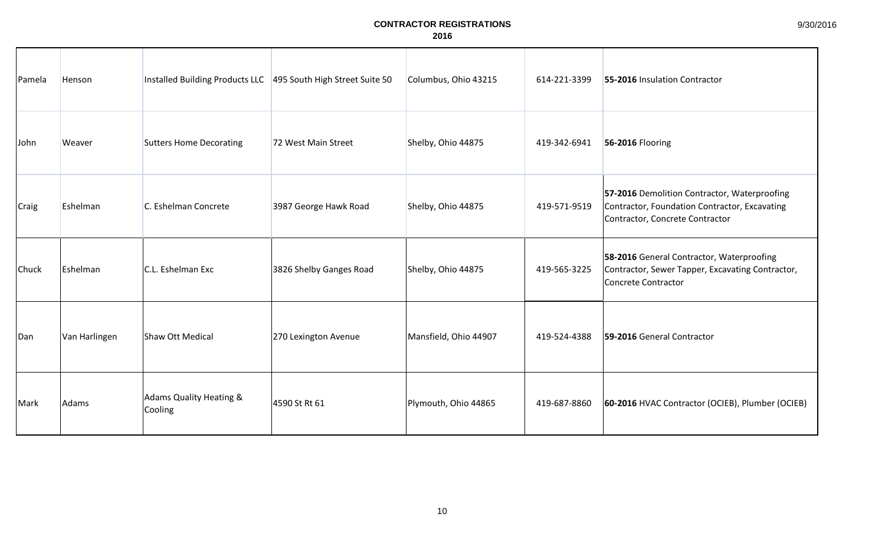| Pamela | Henson        | Installed Building Products LLC 495 South High Street Suite 50 |                         | Columbus, Ohio 43215  | 614-221-3399 | 55-2016 Insulation Contractor                                                                                                    |
|--------|---------------|----------------------------------------------------------------|-------------------------|-----------------------|--------------|----------------------------------------------------------------------------------------------------------------------------------|
| John   | Weaver        | <b>Sutters Home Decorating</b>                                 | 72 West Main Street     | Shelby, Ohio 44875    | 419-342-6941 | 56-2016 Flooring                                                                                                                 |
| Craig  | Eshelman      | C. Eshelman Concrete                                           | 3987 George Hawk Road   | Shelby, Ohio 44875    | 419-571-9519 | 57-2016 Demolition Contractor, Waterproofing<br>Contractor, Foundation Contractor, Excavating<br>Contractor, Concrete Contractor |
| Chuck  | Eshelman      | C.L. Eshelman Exc                                              | 3826 Shelby Ganges Road | Shelby, Ohio 44875    | 419-565-3225 | 58-2016 General Contractor, Waterproofing<br>Contractor, Sewer Tapper, Excavating Contractor,<br><b>Concrete Contractor</b>      |
| Dan    | Van Harlingen | Shaw Ott Medical                                               | 270 Lexington Avenue    | Mansfield, Ohio 44907 | 419-524-4388 | 59-2016 General Contractor                                                                                                       |
| Mark   | Adams         | <b>Adams Quality Heating &amp;</b><br>Cooling                  | 4590 St Rt 61           | Plymouth, Ohio 44865  | 419-687-8860 | 60-2016 HVAC Contractor (OCIEB), Plumber (OCIEB)                                                                                 |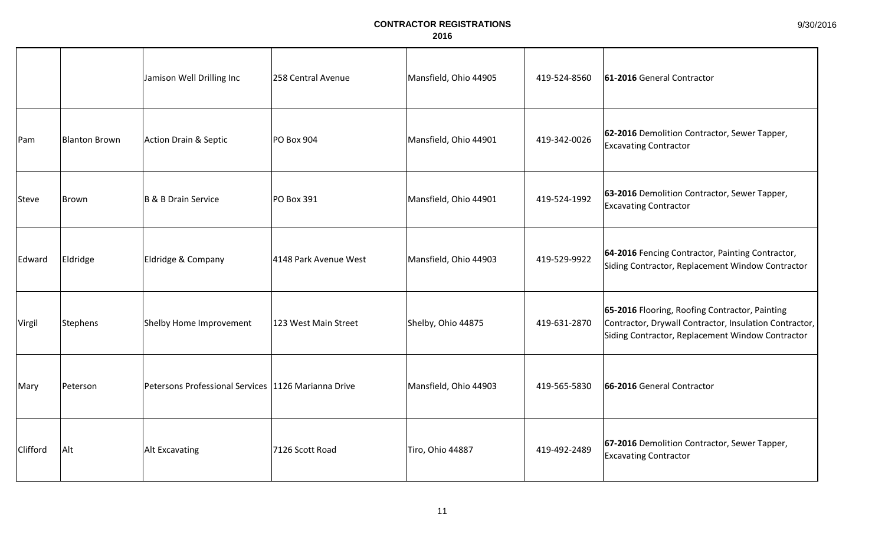|          |                      | Jamison Well Drilling Inc                           | 258 Central Avenue    | Mansfield, Ohio 44905 | 419-524-8560 | 61-2016 General Contractor                                                                                                                                   |
|----------|----------------------|-----------------------------------------------------|-----------------------|-----------------------|--------------|--------------------------------------------------------------------------------------------------------------------------------------------------------------|
| Pam      | <b>Blanton Brown</b> | Action Drain & Septic                               | PO Box 904            | Mansfield, Ohio 44901 | 419-342-0026 | 62-2016 Demolition Contractor, Sewer Tapper,<br><b>Excavating Contractor</b>                                                                                 |
| Steve    | Brown                | B & B Drain Service                                 | PO Box 391            | Mansfield, Ohio 44901 | 419-524-1992 | 63-2016 Demolition Contractor, Sewer Tapper,<br><b>Excavating Contractor</b>                                                                                 |
| Edward   | Eldridge             | Eldridge & Company                                  | 4148 Park Avenue West | Mansfield, Ohio 44903 | 419-529-9922 | 64-2016 Fencing Contractor, Painting Contractor,<br>Siding Contractor, Replacement Window Contractor                                                         |
| Virgil   | Stephens             | Shelby Home Improvement                             | 123 West Main Street  | Shelby, Ohio 44875    | 419-631-2870 | 65-2016 Flooring, Roofing Contractor, Painting<br>Contractor, Drywall Contractor, Insulation Contractor,<br>Siding Contractor, Replacement Window Contractor |
| Mary     | Peterson             | Petersons Professional Services 1126 Marianna Drive |                       | Mansfield, Ohio 44903 | 419-565-5830 | 66-2016 General Contractor                                                                                                                                   |
| Clifford | Alt                  | <b>Alt Excavating</b>                               | 7126 Scott Road       | Tiro, Ohio 44887      | 419-492-2489 | 67-2016 Demolition Contractor, Sewer Tapper,<br><b>Excavating Contractor</b>                                                                                 |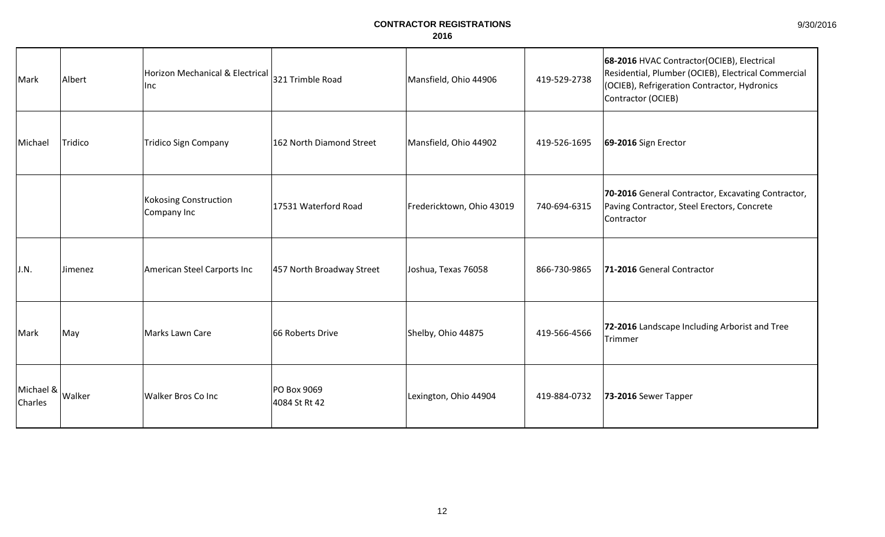| Mark                 | Albert  | Horizon Mechanical & Electrical<br>Inc      | 321 Trimble Road             | Mansfield, Ohio 44906     | 419-529-2738 | 68-2016 HVAC Contractor(OCIEB), Electrical<br>Residential, Plumber (OCIEB), Electrical Commercial<br>(OCIEB), Refrigeration Contractor, Hydronics<br>Contractor (OCIEB) |
|----------------------|---------|---------------------------------------------|------------------------------|---------------------------|--------------|-------------------------------------------------------------------------------------------------------------------------------------------------------------------------|
| Michael              | Tridico | <b>Tridico Sign Company</b>                 | 162 North Diamond Street     | Mansfield, Ohio 44902     | 419-526-1695 | 69-2016 Sign Erector                                                                                                                                                    |
|                      |         | <b>Kokosing Construction</b><br>Company Inc | 17531 Waterford Road         | Fredericktown, Ohio 43019 | 740-694-6315 | 70-2016 General Contractor, Excavating Contractor,<br>Paving Contractor, Steel Erectors, Concrete<br>Contractor                                                         |
| J.N.                 | Jimenez | American Steel Carports Inc                 | 457 North Broadway Street    | Joshua, Texas 76058       | 866-730-9865 | 71-2016 General Contractor                                                                                                                                              |
| Mark                 | May     | Marks Lawn Care                             | 66 Roberts Drive             | Shelby, Ohio 44875        | 419-566-4566 | 72-2016 Landscape Including Arborist and Tree<br>Trimmer                                                                                                                |
| Michael &<br>Charles | Walker  | Walker Bros Co Inc                          | PO Box 9069<br>4084 St Rt 42 | Lexington, Ohio 44904     | 419-884-0732 | 73-2016 Sewer Tapper                                                                                                                                                    |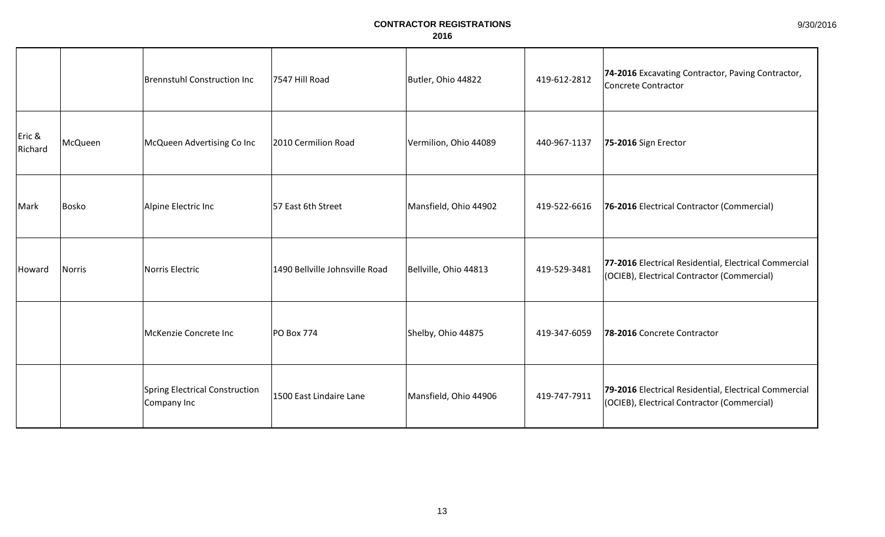|                   |         | Brennstuhl Construction Inc                   | 7547 Hill Road                 | Butler, Ohio 44822    | 419-612-2812 | 74-2016 Excavating Contractor, Paving Contractor,<br>Concrete Contractor                             |
|-------------------|---------|-----------------------------------------------|--------------------------------|-----------------------|--------------|------------------------------------------------------------------------------------------------------|
| Eric &<br>Richard | McQueen | McQueen Advertising Co Inc                    | 2010 Cermilion Road            | Vermilion, Ohio 44089 | 440-967-1137 | 75-2016 Sign Erector                                                                                 |
| Mark              | Bosko   | Alpine Electric Inc                           | 57 East 6th Street             | Mansfield, Ohio 44902 | 419-522-6616 | 76-2016 Electrical Contractor (Commercial)                                                           |
| Howard            | Norris  | Norris Electric                               | 1490 Bellville Johnsville Road | Bellville, Ohio 44813 | 419-529-3481 | 77-2016 Electrical Residential, Electrical Commercial<br>(OCIEB), Electrical Contractor (Commercial) |
|                   |         | McKenzie Concrete Inc                         | <b>PO Box 774</b>              | Shelby, Ohio 44875    | 419-347-6059 | 78-2016 Concrete Contractor                                                                          |
|                   |         | Spring Electrical Construction<br>Company Inc | 1500 East Lindaire Lane        | Mansfield, Ohio 44906 | 419-747-7911 | 79-2016 Electrical Residential, Electrical Commercial<br>(OCIEB), Electrical Contractor (Commercial) |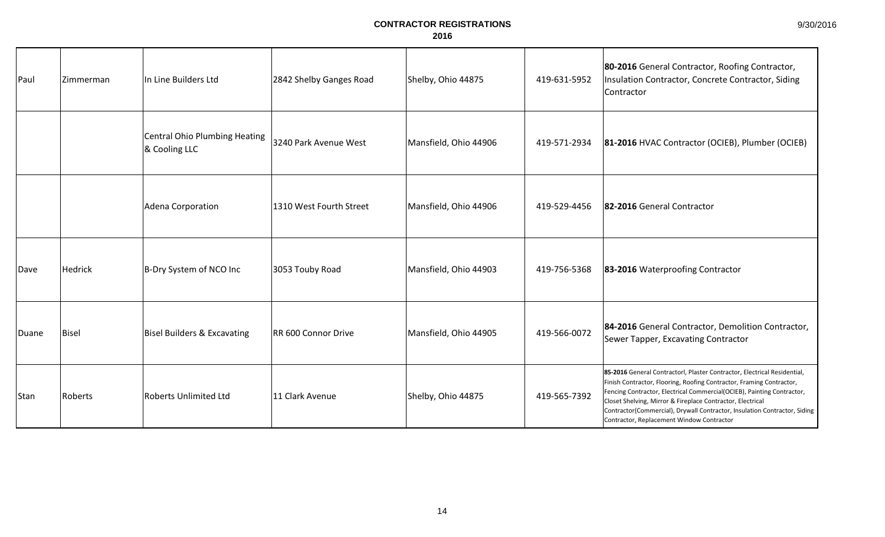| Paul  | Zimmerman    | In Line Builders Ltd                           | 2842 Shelby Ganges Road | Shelby, Ohio 44875    | 419-631-5952 | 80-2016 General Contractor, Roofing Contractor,<br>Insulation Contractor, Concrete Contractor, Siding<br>Contractor                                                                                                                                                                                                                                                                                                |
|-------|--------------|------------------------------------------------|-------------------------|-----------------------|--------------|--------------------------------------------------------------------------------------------------------------------------------------------------------------------------------------------------------------------------------------------------------------------------------------------------------------------------------------------------------------------------------------------------------------------|
|       |              | Central Ohio Plumbing Heating<br>& Cooling LLC | 3240 Park Avenue West   | Mansfield, Ohio 44906 | 419-571-2934 | 81-2016 HVAC Contractor (OCIEB), Plumber (OCIEB)                                                                                                                                                                                                                                                                                                                                                                   |
|       |              | Adena Corporation                              | 1310 West Fourth Street | Mansfield, Ohio 44906 | 419-529-4456 | 82-2016 General Contractor                                                                                                                                                                                                                                                                                                                                                                                         |
| Dave  | Hedrick      | B-Dry System of NCO Inc                        | 3053 Touby Road         | Mansfield, Ohio 44903 | 419-756-5368 | 83-2016 Waterproofing Contractor                                                                                                                                                                                                                                                                                                                                                                                   |
| Duane | <b>Bisel</b> | <b>Bisel Builders &amp; Excavating</b>         | RR 600 Connor Drive     | Mansfield, Ohio 44905 | 419-566-0072 | 84-2016 General Contractor, Demolition Contractor,<br>Sewer Tapper, Excavating Contractor                                                                                                                                                                                                                                                                                                                          |
| Stan  | Roberts      | <b>Roberts Unlimited Ltd</b>                   | 11 Clark Avenue         | Shelby, Ohio 44875    | 419-565-7392 | 85-2016 General Contractorl, Plaster Contractor, Electrical Residential,<br>Finish Contractor, Flooring, Roofing Contractor, Framing Contractor,<br>Fencing Contractor, Electrical Commercial(OCIEB), Painting Contractor,<br>Closet Shelving, Mirror & Fireplace Contractor, Electrical<br>Contractor(Commercial), Drywall Contractor, Insulation Contractor, Siding<br>Contractor, Replacement Window Contractor |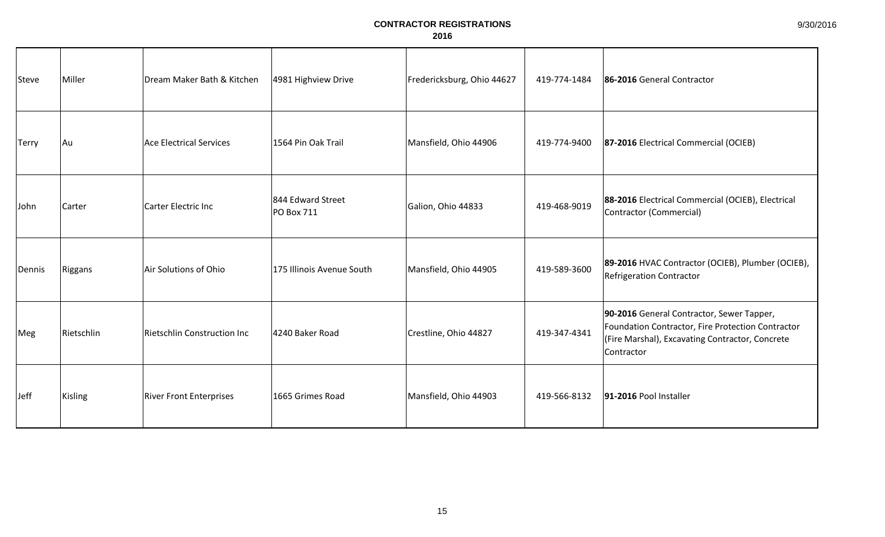| Steve        | Miller     | Dream Maker Bath & Kitchen     | 4981 Highview Drive             | Fredericksburg, Ohio 44627 | 419-774-1484 | 86-2016 General Contractor                                                                                                                                       |
|--------------|------------|--------------------------------|---------------------------------|----------------------------|--------------|------------------------------------------------------------------------------------------------------------------------------------------------------------------|
| <b>Terry</b> | Au         | <b>Ace Electrical Services</b> | 1564 Pin Oak Trail              | Mansfield, Ohio 44906      | 419-774-9400 | 87-2016 Electrical Commercial (OCIEB)                                                                                                                            |
| John         | Carter     | Carter Electric Inc            | 844 Edward Street<br>PO Box 711 | Galion, Ohio 44833         | 419-468-9019 | 88-2016 Electrical Commercial (OCIEB), Electrical<br>Contractor (Commercial)                                                                                     |
| Dennis       | Riggans    | Air Solutions of Ohio          | 175 Illinois Avenue South       | Mansfield, Ohio 44905      | 419-589-3600 | 89-2016 HVAC Contractor (OCIEB), Plumber (OCIEB),<br>Refrigeration Contractor                                                                                    |
| Meg          | Rietschlin | Rietschlin Construction Inc    | 4240 Baker Road                 | Crestline, Ohio 44827      | 419-347-4341 | 90-2016 General Contractor, Sewer Tapper,<br>Foundation Contractor, Fire Protection Contractor<br> (Fire Marshal), Excavating Contractor, Concrete<br>Contractor |
| Jeff         | Kisling    | <b>River Front Enterprises</b> | 1665 Grimes Road                | Mansfield, Ohio 44903      | 419-566-8132 | 91-2016 Pool Installer                                                                                                                                           |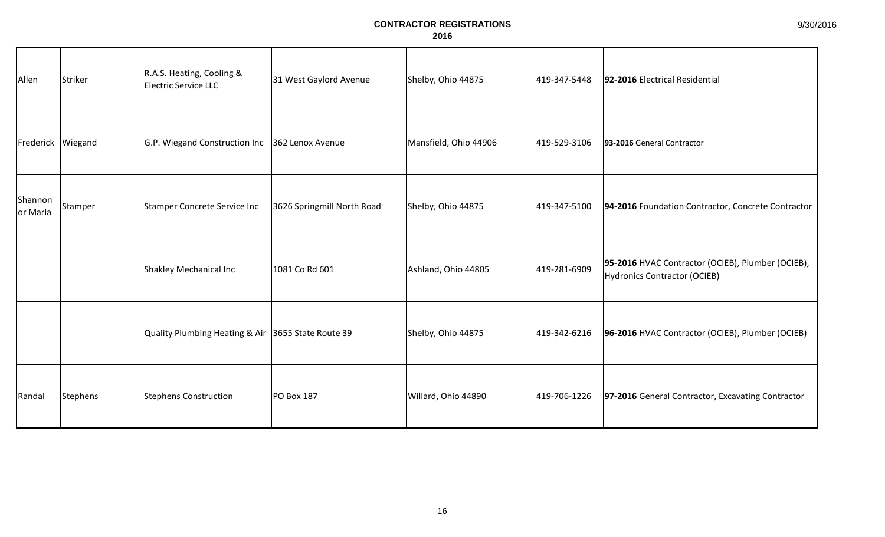| Allen               | Striker  | R.A.S. Heating, Cooling &<br><b>Electric Service LLC</b> | 31 West Gaylord Avenue     | Shelby, Ohio 44875    | 419-347-5448 | 92-2016 Electrical Residential                                                    |
|---------------------|----------|----------------------------------------------------------|----------------------------|-----------------------|--------------|-----------------------------------------------------------------------------------|
| Frederick           | Wiegand  | G.P. Wiegand Construction Inc 362 Lenox Avenue           |                            | Mansfield, Ohio 44906 | 419-529-3106 | 93-2016 General Contractor                                                        |
| Shannon<br>or Marla | Stamper  | Stamper Concrete Service Inc                             | 3626 Springmill North Road | Shelby, Ohio 44875    | 419-347-5100 | 94-2016 Foundation Contractor, Concrete Contractor                                |
|                     |          | Shakley Mechanical Inc                                   | 1081 Co Rd 601             | Ashland, Ohio 44805   | 419-281-6909 | 95-2016 HVAC Contractor (OCIEB), Plumber (OCIEB),<br>Hydronics Contractor (OCIEB) |
|                     |          | Quality Plumbing Heating & Air 3655 State Route 39       |                            | Shelby, Ohio 44875    | 419-342-6216 | 96-2016 HVAC Contractor (OCIEB), Plumber (OCIEB)                                  |
| Randal              | Stephens | <b>Stephens Construction</b>                             | PO Box 187                 | Willard, Ohio 44890   | 419-706-1226 | 97-2016 General Contractor, Excavating Contractor                                 |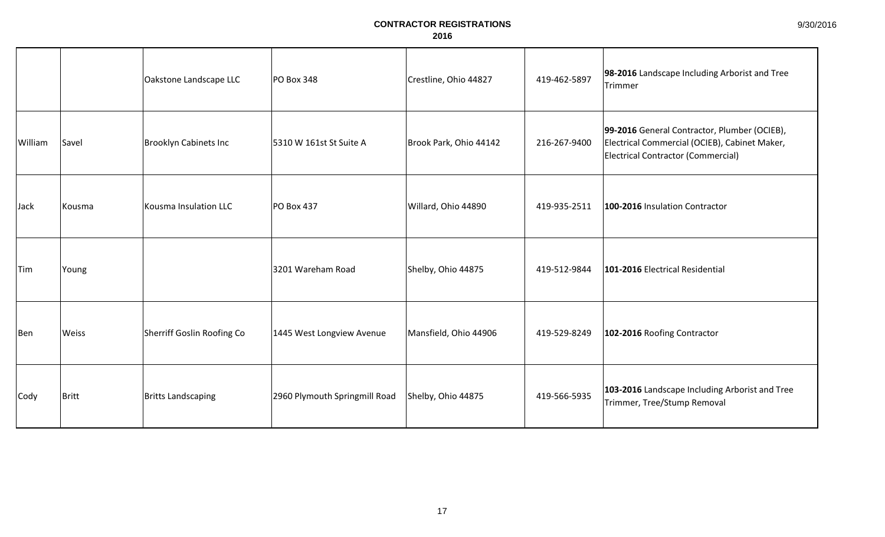|            |        | Oakstone Landscape LLC       | PO Box 348                    | Crestline, Ohio 44827  | 419-462-5897 | 98-2016 Landscape Including Arborist and Tree<br>Trimmer                                                                            |
|------------|--------|------------------------------|-------------------------------|------------------------|--------------|-------------------------------------------------------------------------------------------------------------------------------------|
| William    | Savel  | <b>Brooklyn Cabinets Inc</b> | 5310 W 161st St Suite A       | Brook Park, Ohio 44142 | 216-267-9400 | 99-2016 General Contractor, Plumber (OCIEB),<br>Electrical Commercial (OCIEB), Cabinet Maker,<br>Electrical Contractor (Commercial) |
| Jack       | Kousma | Kousma Insulation LLC        | <b>PO Box 437</b>             | Willard, Ohio 44890    | 419-935-2511 | 100-2016 Insulation Contractor                                                                                                      |
| <b>Tim</b> | Young  |                              | 3201 Wareham Road             | Shelby, Ohio 44875     | 419-512-9844 | 101-2016 Electrical Residential                                                                                                     |
| Ben        | Weiss  | Sherriff Goslin Roofing Co   | 1445 West Longview Avenue     | Mansfield, Ohio 44906  | 419-529-8249 | 102-2016 Roofing Contractor                                                                                                         |
| Cody       | Britt  | <b>Britts Landscaping</b>    | 2960 Plymouth Springmill Road | Shelby, Ohio 44875     | 419-566-5935 | 103-2016 Landscape Including Arborist and Tree<br>Trimmer, Tree/Stump Removal                                                       |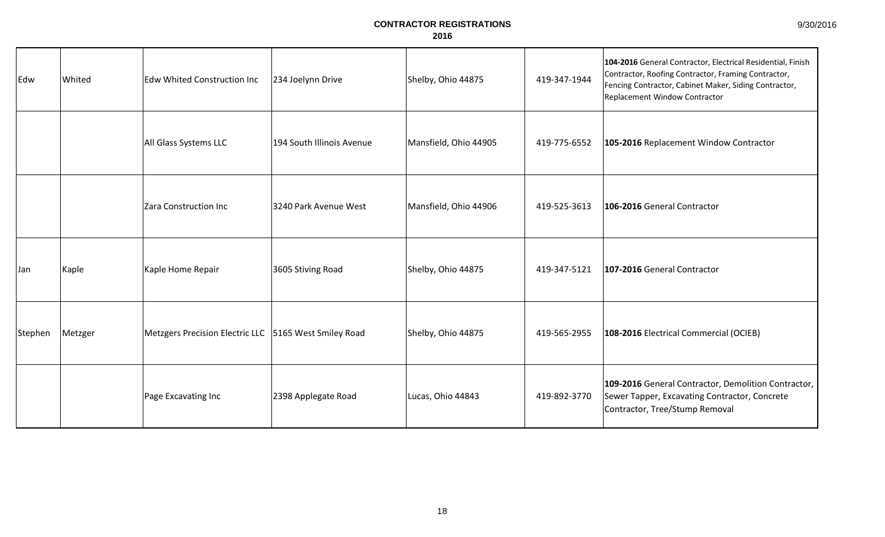| 9/30/2016 |
|-----------|
|-----------|

| Edw     | Whited  | <b>Edw Whited Construction Inc</b>                    | 234 Joelynn Drive         | Shelby, Ohio 44875    | 419-347-1944 | 104-2016 General Contractor, Electrical Residential, Finish<br>Contractor, Roofing Contractor, Framing Contractor,<br>Fencing Contractor, Cabinet Maker, Siding Contractor,<br>Replacement Window Contractor |
|---------|---------|-------------------------------------------------------|---------------------------|-----------------------|--------------|--------------------------------------------------------------------------------------------------------------------------------------------------------------------------------------------------------------|
|         |         | All Glass Systems LLC                                 | 194 South Illinois Avenue | Mansfield, Ohio 44905 | 419-775-6552 | 105-2016 Replacement Window Contractor                                                                                                                                                                       |
|         |         | Zara Construction Inc                                 | 3240 Park Avenue West     | Mansfield, Ohio 44906 | 419-525-3613 | 106-2016 General Contractor                                                                                                                                                                                  |
| Jan     | Kaple   | Kaple Home Repair                                     | 3605 Stiving Road         | Shelby, Ohio 44875    | 419-347-5121 | 107-2016 General Contractor                                                                                                                                                                                  |
| Stephen | Metzger | Metzgers Precision Electric LLC 5165 West Smiley Road |                           | Shelby, Ohio 44875    | 419-565-2955 | 108-2016 Electrical Commercial (OCIEB)                                                                                                                                                                       |
|         |         | Page Excavating Inc                                   | 2398 Applegate Road       | Lucas, Ohio 44843     | 419-892-3770 | 109-2016 General Contractor, Demolition Contractor,<br>Sewer Tapper, Excavating Contractor, Concrete<br>Contractor, Tree/Stump Removal                                                                       |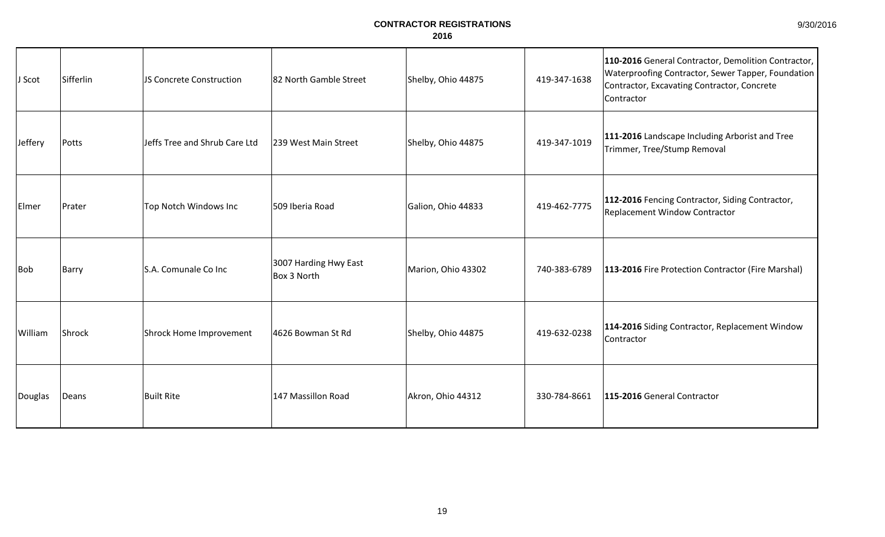|  | 9/30/2016 |  |  |
|--|-----------|--|--|
|--|-----------|--|--|

| J Scot  | Sifferlin | JS Concrete Construction      | 82 North Gamble Street               | Shelby, Ohio 44875 | 419-347-1638 | 110-2016 General Contractor, Demolition Contractor,<br><b>Waterproofing Contractor, Sewer Tapper, Foundation</b><br>Contractor, Excavating Contractor, Concrete<br>Contractor |
|---------|-----------|-------------------------------|--------------------------------------|--------------------|--------------|-------------------------------------------------------------------------------------------------------------------------------------------------------------------------------|
| Jeffery | Potts     | Jeffs Tree and Shrub Care Ltd | 239 West Main Street                 | Shelby, Ohio 44875 | 419-347-1019 | 111-2016 Landscape Including Arborist and Tree<br>Trimmer, Tree/Stump Removal                                                                                                 |
| Elmer   | Prater    | Top Notch Windows Inc         | 509 Iberia Road                      | Galion, Ohio 44833 | 419-462-7775 | 112-2016 Fencing Contractor, Siding Contractor,<br>Replacement Window Contractor                                                                                              |
| Bob     | Barry     | S.A. Comunale Co Inc          | 3007 Harding Hwy East<br>Box 3 North | Marion, Ohio 43302 | 740-383-6789 | 113-2016 Fire Protection Contractor (Fire Marshal)                                                                                                                            |
| William | Shrock    | Shrock Home Improvement       | 4626 Bowman St Rd                    | Shelby, Ohio 44875 | 419-632-0238 | 114-2016 Siding Contractor, Replacement Window<br>Contractor                                                                                                                  |
| Douglas | Deans     | <b>Built Rite</b>             | 147 Massillon Road                   | Akron, Ohio 44312  | 330-784-8661 | 115-2016 General Contractor                                                                                                                                                   |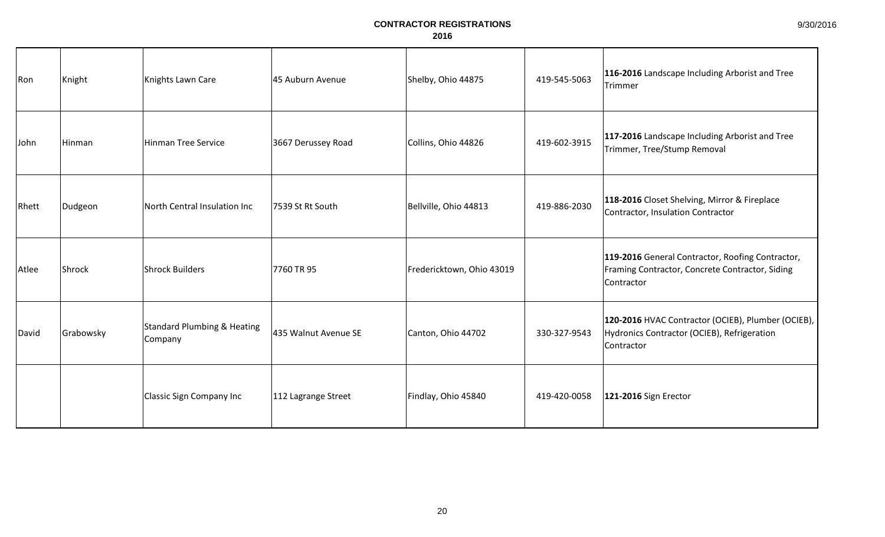| Ron   | Knight    | Knights Lawn Care                                 | 45 Auburn Avenue     | Shelby, Ohio 44875        | 419-545-5063 | 116-2016 Landscape Including Arborist and Tree<br>Trimmer                                                         |
|-------|-----------|---------------------------------------------------|----------------------|---------------------------|--------------|-------------------------------------------------------------------------------------------------------------------|
| John  | Hinman    | <b>Hinman Tree Service</b>                        | 3667 Derussey Road   | Collins, Ohio 44826       | 419-602-3915 | 117-2016 Landscape Including Arborist and Tree<br>Trimmer, Tree/Stump Removal                                     |
| Rhett | Dudgeon   | North Central Insulation Inc                      | 7539 St Rt South     | Bellville, Ohio 44813     | 419-886-2030 | 118-2016 Closet Shelving, Mirror & Fireplace<br>Contractor, Insulation Contractor                                 |
| Atlee | Shrock    | <b>Shrock Builders</b>                            | 7760 TR 95           | Fredericktown, Ohio 43019 |              | 119-2016 General Contractor, Roofing Contractor,<br>Framing Contractor, Concrete Contractor, Siding<br>Contractor |
| David | Grabowsky | <b>Standard Plumbing &amp; Heating</b><br>Company | 435 Walnut Avenue SE | Canton, Ohio 44702        | 330-327-9543 | 120-2016 HVAC Contractor (OCIEB), Plumber (OCIEB),<br>Hydronics Contractor (OCIEB), Refrigeration<br>Contractor   |
|       |           | <b>Classic Sign Company Inc</b>                   | 112 Lagrange Street  | Findlay, Ohio 45840       | 419-420-0058 | 121-2016 Sign Erector                                                                                             |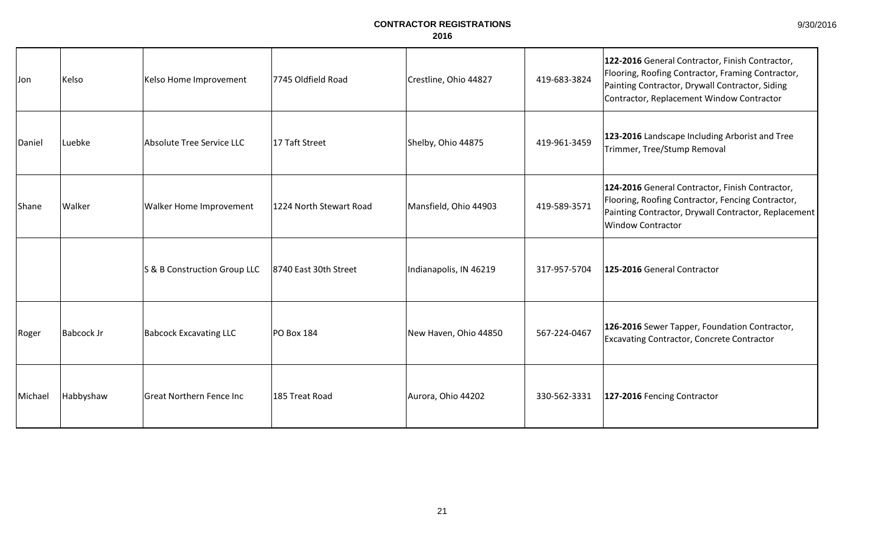| 9/30/2016 |
|-----------|
|-----------|

| Jon     | Kelso      | Kelso Home Improvement           | 7745 Oldfield Road      | Crestline, Ohio 44827  | 419-683-3824 | 122-2016 General Contractor, Finish Contractor,<br>Flooring, Roofing Contractor, Framing Contractor,<br>Painting Contractor, Drywall Contractor, Siding<br>Contractor, Replacement Window Contractor |
|---------|------------|----------------------------------|-------------------------|------------------------|--------------|------------------------------------------------------------------------------------------------------------------------------------------------------------------------------------------------------|
| Daniel  | Luebke     | <b>Absolute Tree Service LLC</b> | 17 Taft Street          | Shelby, Ohio 44875     | 419-961-3459 | 123-2016 Landscape Including Arborist and Tree<br>Trimmer, Tree/Stump Removal                                                                                                                        |
| Shane   | Walker     | Walker Home Improvement          | 1224 North Stewart Road | Mansfield, Ohio 44903  | 419-589-3571 | 124-2016 General Contractor, Finish Contractor,<br>Flooring, Roofing Contractor, Fencing Contractor,<br>Painting Contractor, Drywall Contractor, Replacement<br><b>Window Contractor</b>             |
|         |            | S & B Construction Group LLC     | 8740 East 30th Street   | Indianapolis, IN 46219 | 317-957-5704 | 125-2016 General Contractor                                                                                                                                                                          |
| Roger   | Babcock Jr | <b>Babcock Excavating LLC</b>    | PO Box 184              | New Haven, Ohio 44850  | 567-224-0467 | 126-2016 Sewer Tapper, Foundation Contractor,<br><b>Excavating Contractor, Concrete Contractor</b>                                                                                                   |
| Michael | Habbyshaw  | <b>Great Northern Fence Inc</b>  | 185 Treat Road          | Aurora, Ohio 44202     | 330-562-3331 | 127-2016 Fencing Contractor                                                                                                                                                                          |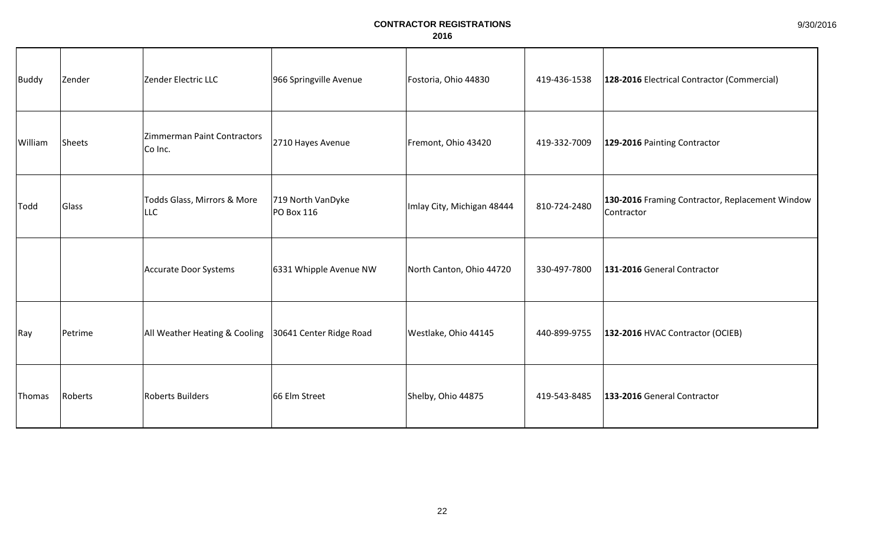| <b>Buddy</b> | Zender  | Zender Electric LLC                                     | 966 Springville Avenue          | Fostoria, Ohio 44830       | 419-436-1538 | 128-2016 Electrical Contractor (Commercial)                   |
|--------------|---------|---------------------------------------------------------|---------------------------------|----------------------------|--------------|---------------------------------------------------------------|
| William      | Sheets  | Zimmerman Paint Contractors<br>Co Inc.                  | 2710 Hayes Avenue               | Fremont, Ohio 43420        | 419-332-7009 | 129-2016 Painting Contractor                                  |
| Todd         | Glass   | Todds Glass, Mirrors & More<br>LLC                      | 719 North VanDyke<br>PO Box 116 | Imlay City, Michigan 48444 | 810-724-2480 | 130-2016 Framing Contractor, Replacement Window<br>Contractor |
|              |         | Accurate Door Systems                                   | 6331 Whipple Avenue NW          | North Canton, Ohio 44720   | 330-497-7800 | 131-2016 General Contractor                                   |
| Ray          | Petrime | All Weather Heating & Cooling   30641 Center Ridge Road |                                 | Westlake, Ohio 44145       | 440-899-9755 | 132-2016 HVAC Contractor (OCIEB)                              |
| Thomas       | Roberts | <b>Roberts Builders</b>                                 | 66 Elm Street                   | Shelby, Ohio 44875         | 419-543-8485 | 133-2016 General Contractor                                   |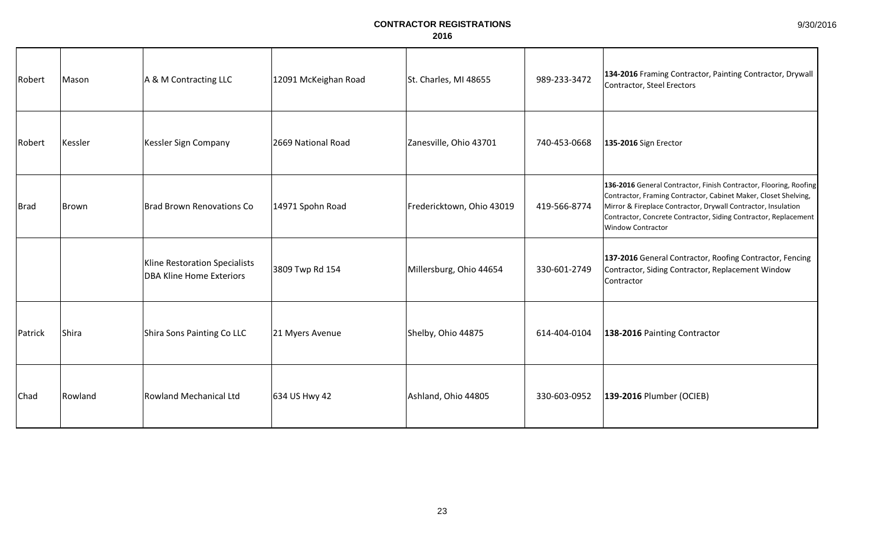| Robert      | Mason   | A & M Contracting LLC                                            | 12091 McKeighan Road | St. Charles, MI 48655     | 989-233-3472 | 134-2016 Framing Contractor, Painting Contractor, Drywall<br>Contractor, Steel Erectors                                                                                                                                                                                                       |
|-------------|---------|------------------------------------------------------------------|----------------------|---------------------------|--------------|-----------------------------------------------------------------------------------------------------------------------------------------------------------------------------------------------------------------------------------------------------------------------------------------------|
| Robert      | Kessler | Kessler Sign Company                                             | 2669 National Road   | Zanesville, Ohio 43701    | 740-453-0668 | 135-2016 Sign Erector                                                                                                                                                                                                                                                                         |
| <b>Brad</b> | Brown   | <b>Brad Brown Renovations Co</b>                                 | 14971 Spohn Road     | Fredericktown, Ohio 43019 | 419-566-8774 | 136-2016 General Contractor, Finish Contractor, Flooring, Roofing<br>Contractor, Framing Contractor, Cabinet Maker, Closet Shelving,<br>Mirror & Fireplace Contractor, Drywall Contractor, Insulation<br>Contractor, Concrete Contractor, Siding Contractor, Replacement<br>Window Contractor |
|             |         | Kline Restoration Specialists<br><b>DBA Kline Home Exteriors</b> | 3809 Twp Rd 154      | Millersburg, Ohio 44654   | 330-601-2749 | 137-2016 General Contractor, Roofing Contractor, Fencing<br>Contractor, Siding Contractor, Replacement Window<br>Contractor                                                                                                                                                                   |
| Patrick     | Shira   | Shira Sons Painting Co LLC                                       | 21 Myers Avenue      | Shelby, Ohio 44875        | 614-404-0104 | 138-2016 Painting Contractor                                                                                                                                                                                                                                                                  |
| Chad        | Rowland | Rowland Mechanical Ltd                                           | 634 US Hwy 42        | Ashland, Ohio 44805       | 330-603-0952 | 139-2016 Plumber (OCIEB)                                                                                                                                                                                                                                                                      |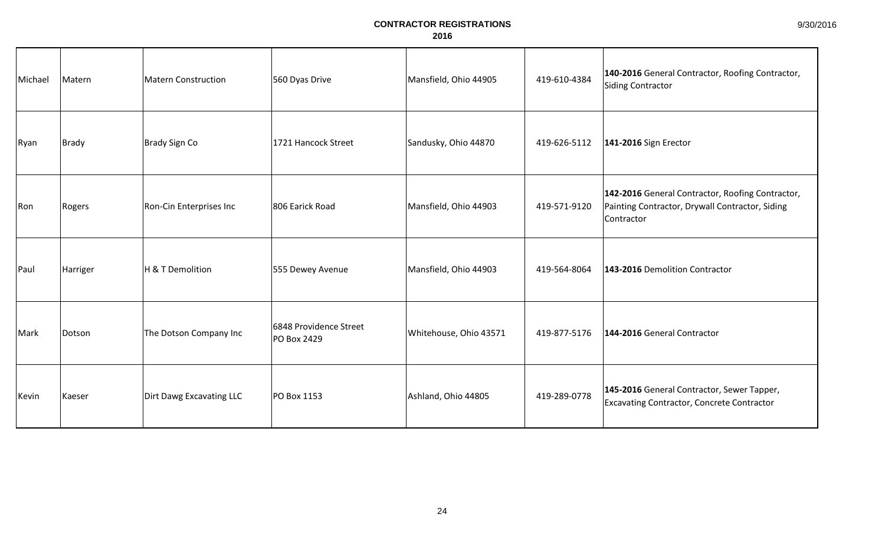| Michael | Matern   | Matern Construction      | 560 Dyas Drive                        | Mansfield, Ohio 44905  | 419-610-4384 | 140-2016 General Contractor, Roofing Contractor,<br>Siding Contractor                                             |
|---------|----------|--------------------------|---------------------------------------|------------------------|--------------|-------------------------------------------------------------------------------------------------------------------|
| Ryan    | Brady    | Brady Sign Co            | 1721 Hancock Street                   | Sandusky, Ohio 44870   | 419-626-5112 | 141-2016 Sign Erector                                                                                             |
| Ron     | Rogers   | Ron-Cin Enterprises Inc  | 806 Earick Road                       | Mansfield, Ohio 44903  | 419-571-9120 | 142-2016 General Contractor, Roofing Contractor,<br>Painting Contractor, Drywall Contractor, Siding<br>Contractor |
| Paul    | Harriger | H & T Demolition         | 555 Dewey Avenue                      | Mansfield, Ohio 44903  | 419-564-8064 | 143-2016 Demolition Contractor                                                                                    |
| Mark    | Dotson   | The Dotson Company Inc   | 6848 Providence Street<br>PO Box 2429 | Whitehouse, Ohio 43571 | 419-877-5176 | 144-2016 General Contractor                                                                                       |
| Kevin   | Kaeser   | Dirt Dawg Excavating LLC | PO Box 1153                           | Ashland, Ohio 44805    | 419-289-0778 | 145-2016 General Contractor, Sewer Tapper,<br>Excavating Contractor, Concrete Contractor                          |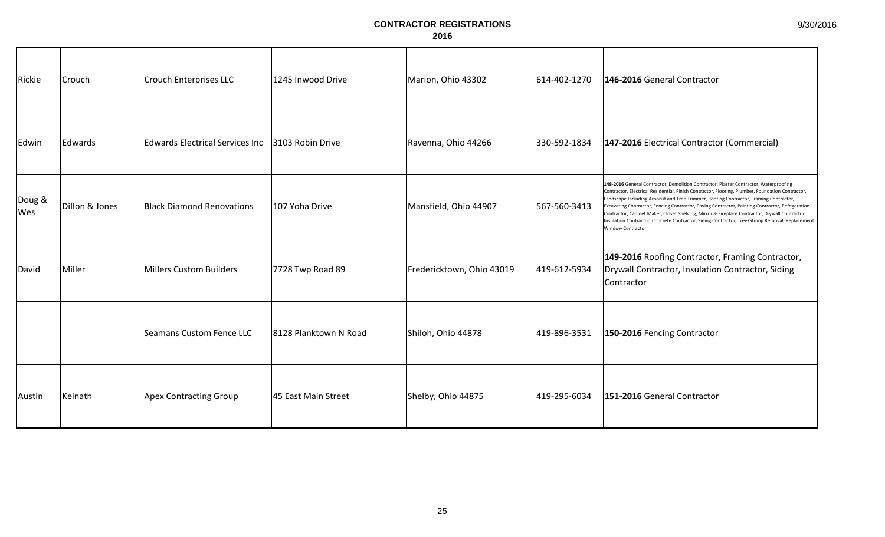| Rickie        | Crouch         | Crouch Enterprises LLC                 | 1245 Inwood Drive     | Marion, Ohio 43302        | 614-402-1270 | 146-2016 General Contractor                                                                                                                                                                                                                                                                                                                                                                                                                                                                                                                                                                                             |
|---------------|----------------|----------------------------------------|-----------------------|---------------------------|--------------|-------------------------------------------------------------------------------------------------------------------------------------------------------------------------------------------------------------------------------------------------------------------------------------------------------------------------------------------------------------------------------------------------------------------------------------------------------------------------------------------------------------------------------------------------------------------------------------------------------------------------|
| Edwin         | Edwards        | <b>Edwards Electrical Services Inc</b> | 3103 Robin Drive      | Ravenna, Ohio 44266       | 330-592-1834 | 147-2016 Electrical Contractor (Commercial)                                                                                                                                                                                                                                                                                                                                                                                                                                                                                                                                                                             |
| Doug &<br>Wes | Dillon & Jones | <b>Black Diamond Renovations</b>       | 107 Yoha Drive        | Mansfield, Ohio 44907     | 567-560-3413 | 148-2016 General Contractor, Demolition Contractor, Plaster Contractor, Waterproofing<br>Contractor, Electrical Residential, Finish Contractor, Flooring, Plumber, Foundation Contractor,<br>Landscape Including Arborist and Tree Trimmer, Roofing Contractor, Framing Contractor,<br>Excavating Contractor, Fencing Contractor, Paving Contractor, Painting Contractor, Refrigeration<br>Contractor, Cabinet Maker, Closet Shelving, Mirror & Fireplace Contractor, Drywall Contractor,<br>Insulation Contractor, Concrete Contractor, Siding Contractor, Tree/Stump Removal, Replacement<br><b>Window Contractor</b> |
| David         | Miller         | Millers Custom Builders                | 7728 Twp Road 89      | Fredericktown, Ohio 43019 | 419-612-5934 | 149-2016 Roofing Contractor, Framing Contractor,<br>Drywall Contractor, Insulation Contractor, Siding<br>Contractor                                                                                                                                                                                                                                                                                                                                                                                                                                                                                                     |
|               |                | <b>Seamans Custom Fence LLC</b>        | 8128 Planktown N Road | Shiloh, Ohio 44878        | 419-896-3531 | 150-2016 Fencing Contractor                                                                                                                                                                                                                                                                                                                                                                                                                                                                                                                                                                                             |
| Austin        | Keinath        | <b>Apex Contracting Group</b>          | 45 East Main Street   | Shelby, Ohio 44875        | 419-295-6034 | 151-2016 General Contractor                                                                                                                                                                                                                                                                                                                                                                                                                                                                                                                                                                                             |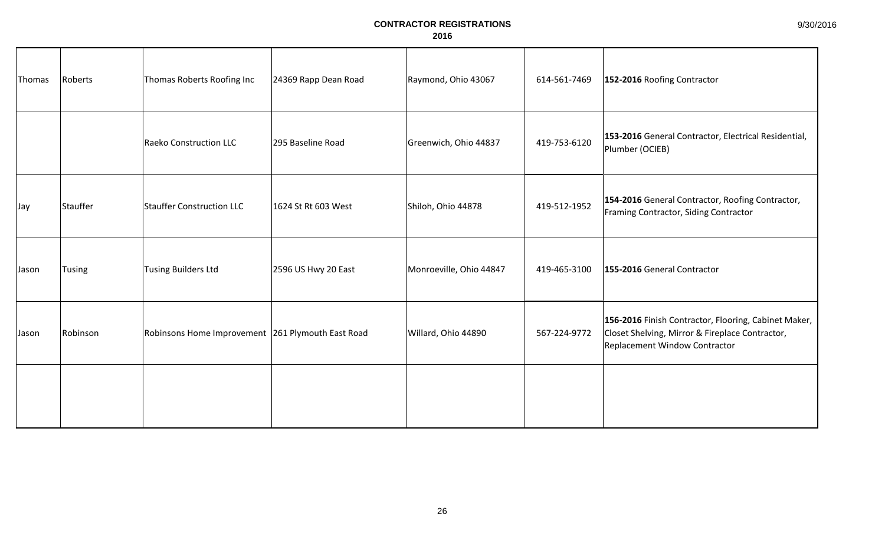| Thomas | Roberts       | Thomas Roberts Roofing Inc                        | 24369 Rapp Dean Road | Raymond, Ohio 43067     | 614-561-7469 | 152-2016 Roofing Contractor                                                                                                              |
|--------|---------------|---------------------------------------------------|----------------------|-------------------------|--------------|------------------------------------------------------------------------------------------------------------------------------------------|
|        |               | <b>Raeko Construction LLC</b>                     | 295 Baseline Road    | Greenwich, Ohio 44837   | 419-753-6120 | 153-2016 General Contractor, Electrical Residential,<br>Plumber (OCIEB)                                                                  |
| Jay    | Stauffer      | <b>Stauffer Construction LLC</b>                  | 1624 St Rt 603 West  | Shiloh, Ohio 44878      | 419-512-1952 | 154-2016 General Contractor, Roofing Contractor,<br>Framing Contractor, Siding Contractor                                                |
| Jason  | <b>Tusing</b> | <b>Tusing Builders Ltd</b>                        | 2596 US Hwy 20 East  | Monroeville, Ohio 44847 | 419-465-3100 | 155-2016 General Contractor                                                                                                              |
| Jason  | Robinson      | Robinsons Home Improvement 261 Plymouth East Road |                      | Willard, Ohio 44890     | 567-224-9772 | 156-2016 Finish Contractor, Flooring, Cabinet Maker,<br>Closet Shelving, Mirror & Fireplace Contractor,<br>Replacement Window Contractor |
|        |               |                                                   |                      |                         |              |                                                                                                                                          |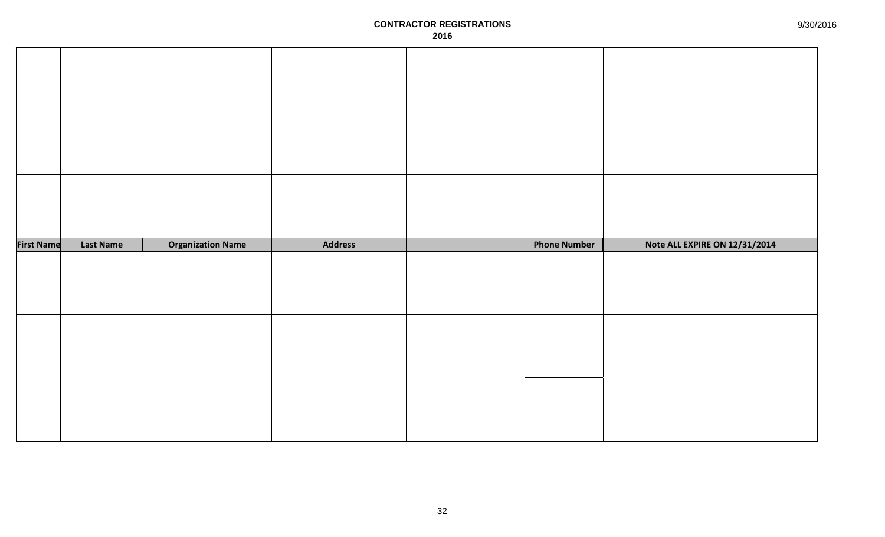| <b>First Name</b> | <b>Last Name</b> | <b>Organization Name</b> | <b>Address</b> | <b>Phone Number</b> | Note ALL EXPIRE ON 12/31/2014 |
|-------------------|------------------|--------------------------|----------------|---------------------|-------------------------------|
|                   |                  |                          |                |                     |                               |
|                   |                  |                          |                |                     |                               |
|                   |                  |                          |                |                     |                               |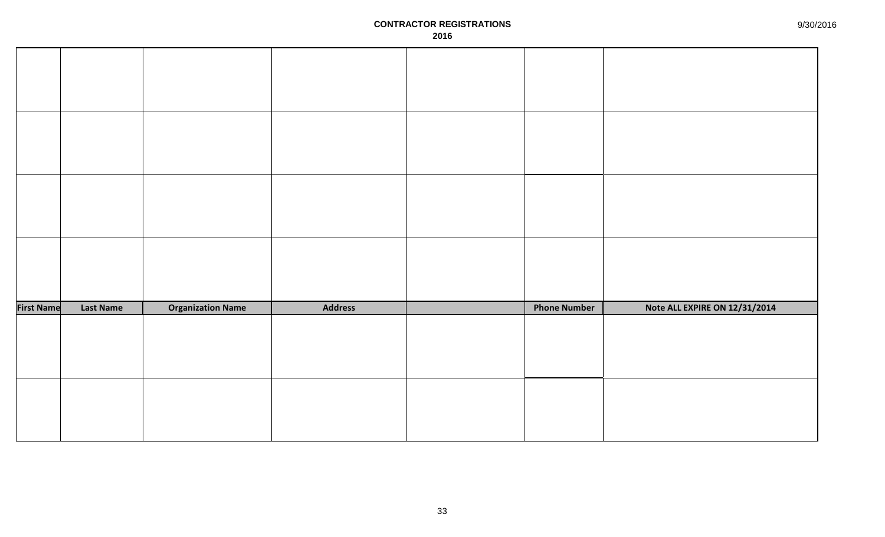| <b>First Name</b> | <b>Last Name</b> | <b>Organization Name</b> | <b>Address</b> | <b>Phone Number</b> | Note ALL EXPIRE ON 12/31/2014 |
|-------------------|------------------|--------------------------|----------------|---------------------|-------------------------------|
|                   |                  |                          |                |                     |                               |
|                   |                  |                          |                |                     |                               |